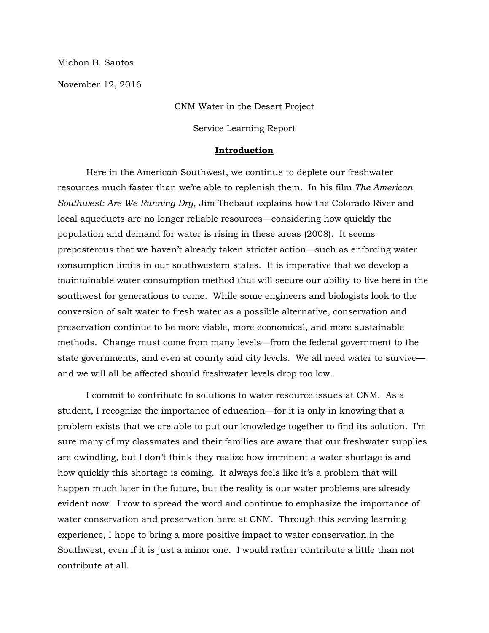Michon B. Santos

November 12, 2016

CNM Water in the Desert Project

Service Learning Report

### **Introduction**

Here in the American Southwest, we continue to deplete our freshwater resources much faster than we're able to replenish them. In his film *The American Southwest: Are We Running Dry*, Jim Thebaut explains how the Colorado River and local aqueducts are no longer reliable resources—considering how quickly the population and demand for water is rising in these areas (2008). It seems preposterous that we haven't already taken stricter action—such as enforcing water consumption limits in our southwestern states. It is imperative that we develop a maintainable water consumption method that will secure our ability to live here in the southwest for generations to come. While some engineers and biologists look to the conversion of salt water to fresh water as a possible alternative, conservation and preservation continue to be more viable, more economical, and more sustainable methods. Change must come from many levels—from the federal government to the state governments, and even at county and city levels. We all need water to survive and we will all be affected should freshwater levels drop too low.

I commit to contribute to solutions to water resource issues at CNM. As a student, I recognize the importance of education—for it is only in knowing that a problem exists that we are able to put our knowledge together to find its solution. I'm sure many of my classmates and their families are aware that our freshwater supplies are dwindling, but I don't think they realize how imminent a water shortage is and how quickly this shortage is coming. It always feels like it's a problem that will happen much later in the future, but the reality is our water problems are already evident now. I vow to spread the word and continue to emphasize the importance of water conservation and preservation here at CNM. Through this serving learning experience, I hope to bring a more positive impact to water conservation in the Southwest, even if it is just a minor one. I would rather contribute a little than not contribute at all.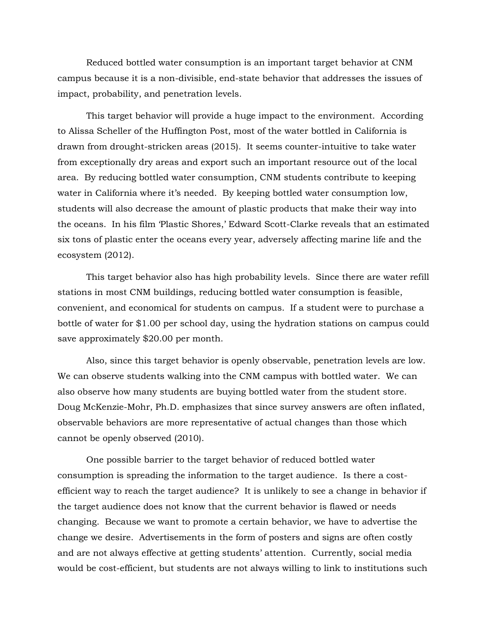Reduced bottled water consumption is an important target behavior at CNM campus because it is a non-divisible, end-state behavior that addresses the issues of impact, probability, and penetration levels.

This target behavior will provide a huge impact to the environment. According to Alissa Scheller of the Huffington Post, most of the water bottled in California is drawn from drought-stricken areas (2015). It seems counter-intuitive to take water from exceptionally dry areas and export such an important resource out of the local area. By reducing bottled water consumption, CNM students contribute to keeping water in California where it's needed. By keeping bottled water consumption low, students will also decrease the amount of plastic products that make their way into the oceans. In his film 'Plastic Shores,' Edward Scott-Clarke reveals that an estimated six tons of plastic enter the oceans every year, adversely affecting marine life and the ecosystem (2012).

This target behavior also has high probability levels. Since there are water refill stations in most CNM buildings, reducing bottled water consumption is feasible, convenient, and economical for students on campus. If a student were to purchase a bottle of water for \$1.00 per school day, using the hydration stations on campus could save approximately \$20.00 per month.

Also, since this target behavior is openly observable, penetration levels are low. We can observe students walking into the CNM campus with bottled water. We can also observe how many students are buying bottled water from the student store. Doug McKenzie-Mohr, Ph.D. emphasizes that since survey answers are often inflated, observable behaviors are more representative of actual changes than those which cannot be openly observed (2010).

One possible barrier to the target behavior of reduced bottled water consumption is spreading the information to the target audience. Is there a costefficient way to reach the target audience? It is unlikely to see a change in behavior if the target audience does not know that the current behavior is flawed or needs changing. Because we want to promote a certain behavior, we have to advertise the change we desire. Advertisements in the form of posters and signs are often costly and are not always effective at getting students' attention. Currently, social media would be cost-efficient, but students are not always willing to link to institutions such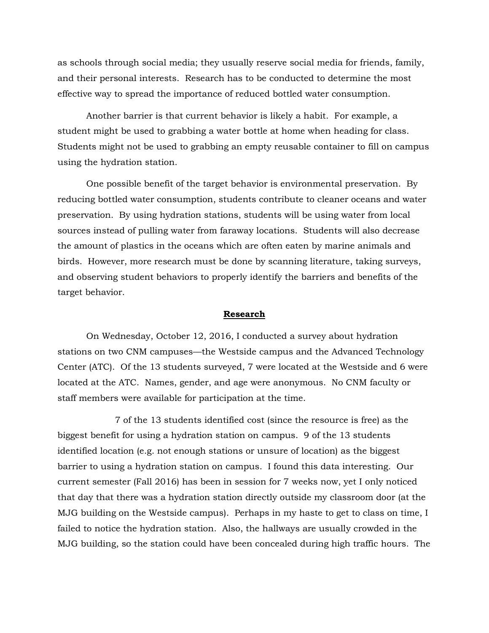as schools through social media; they usually reserve social media for friends, family, and their personal interests. Research has to be conducted to determine the most effective way to spread the importance of reduced bottled water consumption.

Another barrier is that current behavior is likely a habit. For example, a student might be used to grabbing a water bottle at home when heading for class. Students might not be used to grabbing an empty reusable container to fill on campus using the hydration station.

One possible benefit of the target behavior is environmental preservation. By reducing bottled water consumption, students contribute to cleaner oceans and water preservation. By using hydration stations, students will be using water from local sources instead of pulling water from faraway locations. Students will also decrease the amount of plastics in the oceans which are often eaten by marine animals and birds. However, more research must be done by scanning literature, taking surveys, and observing student behaviors to properly identify the barriers and benefits of the target behavior.

#### **Research**

On Wednesday, October 12, 2016, I conducted a survey about hydration stations on two CNM campuses—the Westside campus and the Advanced Technology Center (ATC). Of the 13 students surveyed, 7 were located at the Westside and 6 were located at the ATC. Names, gender, and age were anonymous. No CNM faculty or staff members were available for participation at the time.

7 of the 13 students identified cost (since the resource is free) as the biggest benefit for using a hydration station on campus. 9 of the 13 students identified location (e.g. not enough stations or unsure of location) as the biggest barrier to using a hydration station on campus. I found this data interesting. Our current semester (Fall 2016) has been in session for 7 weeks now, yet I only noticed that day that there was a hydration station directly outside my classroom door (at the MJG building on the Westside campus). Perhaps in my haste to get to class on time, I failed to notice the hydration station. Also, the hallways are usually crowded in the MJG building, so the station could have been concealed during high traffic hours. The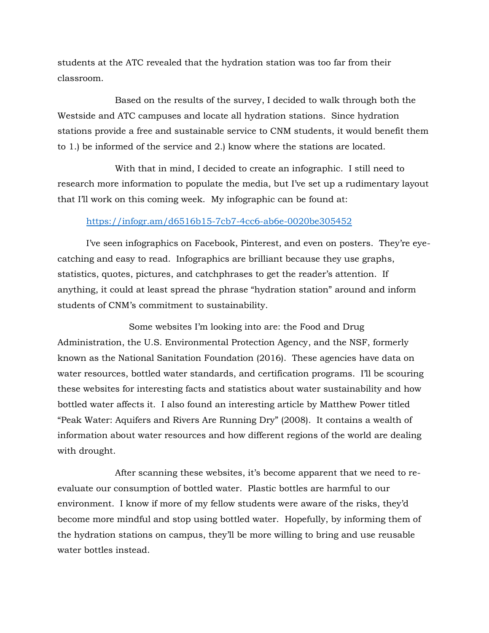students at the ATC revealed that the hydration station was too far from their classroom.

Based on the results of the survey, I decided to walk through both the Westside and ATC campuses and locate all hydration stations. Since hydration stations provide a free and sustainable service to CNM students, it would benefit them to 1.) be informed of the service and 2.) know where the stations are located.

With that in mind, I decided to create an infographic. I still need to research more information to populate the media, but I've set up a rudimentary layout that I'll work on this coming week. My infographic can be found at:

### <https://infogr.am/d6516b15-7cb7-4cc6-ab6e-0020be305452>

I've seen infographics on Facebook, Pinterest, and even on posters. They're eyecatching and easy to read. Infographics are brilliant because they use graphs, statistics, quotes, pictures, and catchphrases to get the reader's attention. If anything, it could at least spread the phrase "hydration station" around and inform students of CNM's commitment to sustainability.

 Some websites I'm looking into are: the Food and Drug Administration, the U.S. Environmental Protection Agency, and the NSF, formerly known as the National Sanitation Foundation (2016). These agencies have data on water resources, bottled water standards, and certification programs. I'll be scouring these websites for interesting facts and statistics about water sustainability and how bottled water affects it. I also found an interesting article by Matthew Power titled "Peak Water: Aquifers and Rivers Are Running Dry" (2008). It contains a wealth of information about water resources and how different regions of the world are dealing with drought.

After scanning these websites, it's become apparent that we need to reevaluate our consumption of bottled water. Plastic bottles are harmful to our environment. I know if more of my fellow students were aware of the risks, they'd become more mindful and stop using bottled water. Hopefully, by informing them of the hydration stations on campus, they'll be more willing to bring and use reusable water bottles instead.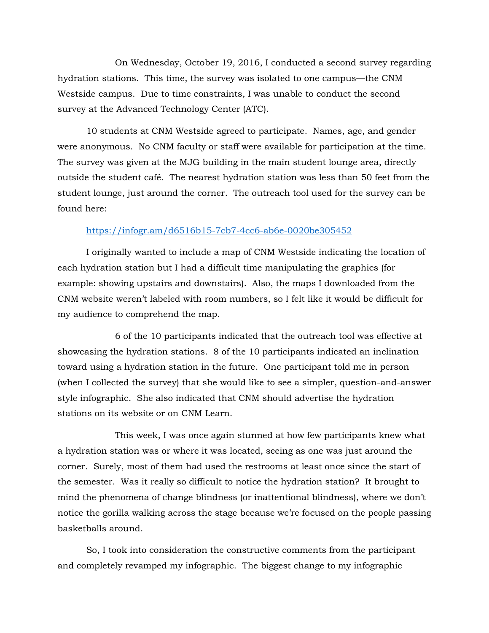On Wednesday, October 19, 2016, I conducted a second survey regarding hydration stations. This time, the survey was isolated to one campus—the CNM Westside campus. Due to time constraints, I was unable to conduct the second survey at the Advanced Technology Center (ATC).

10 students at CNM Westside agreed to participate. Names, age, and gender were anonymous. No CNM faculty or staff were available for participation at the time. The survey was given at the MJG building in the main student lounge area, directly outside the student café. The nearest hydration station was less than 50 feet from the student lounge, just around the corner. The outreach tool used for the survey can be found here:

### <https://infogr.am/d6516b15-7cb7-4cc6-ab6e-0020be305452>

I originally wanted to include a map of CNM Westside indicating the location of each hydration station but I had a difficult time manipulating the graphics (for example: showing upstairs and downstairs). Also, the maps I downloaded from the CNM website weren't labeled with room numbers, so I felt like it would be difficult for my audience to comprehend the map.

6 of the 10 participants indicated that the outreach tool was effective at showcasing the hydration stations. 8 of the 10 participants indicated an inclination toward using a hydration station in the future. One participant told me in person (when I collected the survey) that she would like to see a simpler, question-and-answer style infographic. She also indicated that CNM should advertise the hydration stations on its website or on CNM Learn.

This week, I was once again stunned at how few participants knew what a hydration station was or where it was located, seeing as one was just around the corner. Surely, most of them had used the restrooms at least once since the start of the semester. Was it really so difficult to notice the hydration station? It brought to mind the phenomena of change blindness (or inattentional blindness), where we don't notice the gorilla walking across the stage because we're focused on the people passing basketballs around.

So, I took into consideration the constructive comments from the participant and completely revamped my infographic. The biggest change to my infographic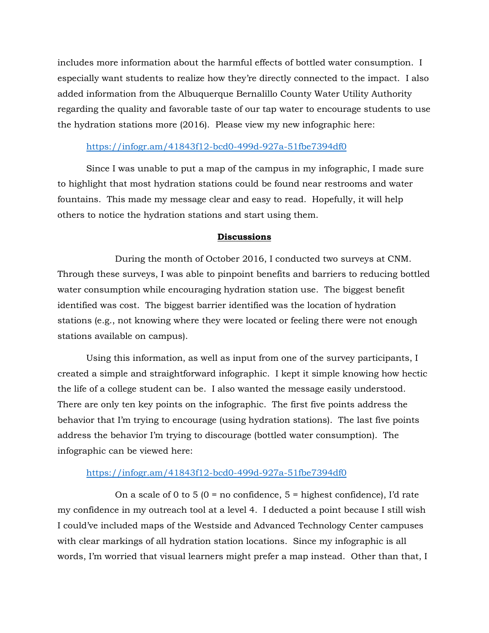includes more information about the harmful effects of bottled water consumption. I especially want students to realize how they're directly connected to the impact. I also added information from the Albuquerque Bernalillo County Water Utility Authority regarding the quality and favorable taste of our tap water to encourage students to use the hydration stations more (2016). Please view my new infographic here:

## <https://infogr.am/41843f12-bcd0-499d-927a-51fbe7394df0>

Since I was unable to put a map of the campus in my infographic, I made sure to highlight that most hydration stations could be found near restrooms and water fountains. This made my message clear and easy to read. Hopefully, it will help others to notice the hydration stations and start using them.

## **Discussions**

During the month of October 2016, I conducted two surveys at CNM. Through these surveys, I was able to pinpoint benefits and barriers to reducing bottled water consumption while encouraging hydration station use. The biggest benefit identified was cost. The biggest barrier identified was the location of hydration stations (e.g., not knowing where they were located or feeling there were not enough stations available on campus).

Using this information, as well as input from one of the survey participants, I created a simple and straightforward infographic. I kept it simple knowing how hectic the life of a college student can be. I also wanted the message easily understood. There are only ten key points on the infographic. The first five points address the behavior that I'm trying to encourage (using hydration stations). The last five points address the behavior I'm trying to discourage (bottled water consumption). The infographic can be viewed here:

### <https://infogr.am/41843f12-bcd0-499d-927a-51fbe7394df0>

On a scale of 0 to 5 ( $0 = no$  confidence,  $5 =$  highest confidence), I'd rate my confidence in my outreach tool at a level 4. I deducted a point because I still wish I could've included maps of the Westside and Advanced Technology Center campuses with clear markings of all hydration station locations. Since my infographic is all words, I'm worried that visual learners might prefer a map instead. Other than that, I